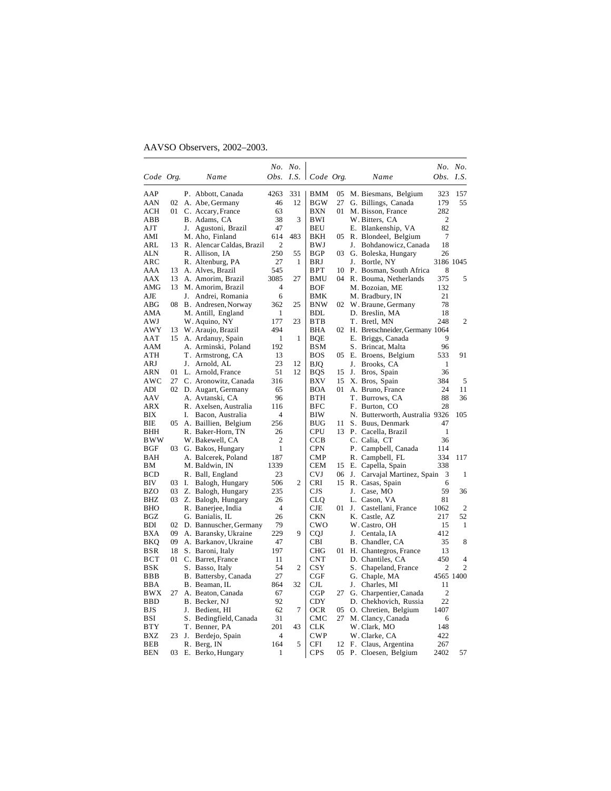# AAVSO Observers, 2002–2003.

|            |       |    |                              |                | No. No. |                  |     |       |                                   |                  | No. No.        |
|------------|-------|----|------------------------------|----------------|---------|------------------|-----|-------|-----------------------------------|------------------|----------------|
| Code Org.  |       |    | Name                         | Obs.           |         | I.S.   Code Org. |     |       | Name                              | <i>Obs. I.S.</i> |                |
| AAP        |       |    | P. Abbott, Canada            | 4263           | 331     | BMM              | 05  |       | M. Biesmans, Belgium              | 323              | 157            |
| AAN        | 02    |    | A. Abe, Germany              | 46             | 12      | BGW              | 27  |       | G. Billings, Canada               | 179              | 55             |
| ACH        | 01    |    | C. Accary, France            | 63             |         | BXN              | 01  |       | M. Bisson, France                 | 282              |                |
| ABB        |       |    | B. Adams, CA                 | 38             | 3       | BWI              |     |       | W. Bitters, CA                    | 2                |                |
| AJT        |       |    | J. Agustoni, Brazil          | 47             |         | <b>BEU</b>       |     |       | E. Blankenship, VA                | 82               |                |
| AMI        |       |    | M. Aho, Finland              | 614            | 483     | BKH              | 05  |       | R. Blondeel, Belgium              | 7                |                |
| ARL        |       |    | 13 R. Alencar Caldas, Brazil | 2              |         | BWJ              |     | J.    | Bohdanowicz, Canada               | 18               |                |
| ALN        |       |    | R. Allison, IA               | 250            | 55      | BGP              | 03  |       | G. Boleska, Hungary               | 26               |                |
| ARC        |       |    | R. Altenburg, PA             | 27             | 1       | <b>BRJ</b>       |     | J.    | Bortle, NY                        |                  | 3186 1045      |
| AAA        | 13    |    | A. Alves, Brazil             | 545            |         | BPT              | 10  |       | P. Bosman, South Africa           | 8                |                |
| AAX        | 13    |    | A. Amorim, Brazil            | 3085           | 27      | BMU              | 04  |       | R. Bouma, Netherlands             | 375              | 5              |
| AMG        | 13    |    | M. Amorim, Brazil            | 4              |         | BOF              |     |       | M. Bozoian, ME                    | 132              |                |
| AJE        |       |    | J. Andrei, Romania           | 6              |         | BMK              |     |       | M. Bradbury, IN                   | 21               |                |
| ABG        | 08    |    | B. Andresen, Norway          | 362            | 25      | <b>BNW</b>       |     |       | 02 W. Braune, Germany             | 78               |                |
| AMA        |       |    | M. Antill, England           | 1              |         | <b>BDL</b>       |     |       | D. Breslin, MA                    | 18               |                |
| AWJ        |       |    | W. Aquino, NY                | 177            | 23      | <b>BTB</b>       |     |       | T. Bretl, MN                      | 248              | 2              |
| AWY        | 13    |    | W. Araujo, Brazil            | 494            |         | <b>BHA</b>       |     |       | 02 H. Bretschneider, Germany 1064 |                  |                |
| AAT        | 15    |    | A. Ardanuy, Spain            | 1              | 1       | BQE              |     |       | E. Briggs, Canada                 | 9                |                |
| AAM        |       |    | A. Arminski, Poland          | 192            |         | <b>BSM</b>       |     |       | S. Brincat, Malta                 | 96               |                |
| ATH        |       |    | T. Armstrong, CA             | 13             |         | <b>BOS</b>       |     |       | 05 E. Broens, Belgium             | 533              | 91             |
| ARJ        |       |    | J. Arnold, AL                | 23             | 12      | BJQ              |     | J.    | Brooks, CA                        | 1                |                |
| ARN        | 01    |    | L. Arnold, France            | 51             | 12      | BQS              | 15  | J.    | Bros, Spain                       | 36               |                |
| AWC        | 27    |    | C. Aronowitz, Canada         | 316            |         | BXV              | 15  |       | X. Bros, Spain                    | 384              | 5              |
| ADI        |       |    | 02 D. Augart, Germany        | 65             |         | BOA              | 01. |       | A. Bruno, France                  | 24               | 11             |
| AAV        |       |    | A. Avtanski, CA              | 96             |         | <b>BTH</b>       |     |       | T. Burrows, CA                    | 88               | 36             |
| ARX        |       |    | R. Axelsen, Australia        | 116            |         | <b>BFC</b>       |     |       | F. Burton, CO                     | 28               |                |
| BIX        |       | I. | Bacon, Australia             | $\overline{4}$ |         | BIW              |     |       | N. Butterworth, Australia 9326    |                  | 105            |
| ВIЕ        | 05    |    | A. Baillien, Belgium         | 256            |         | <b>BUG</b>       | 11  |       | S. Buus, Denmark                  | 47               |                |
| BHH        |       |    | R. Baker-Horn, TN            | 26             |         | <b>CPU</b>       | 13  |       | P. Cacella, Brazil                | 1                |                |
| BWW        |       |    | W. Bakewell, CA              | 2              |         | CCB              |     |       | C. Calia, CT                      | 36               |                |
| BGF        | 03    |    | G. Bakos, Hungary            | 1              |         | <b>CPN</b>       |     |       | P. Campbell, Canada               | 114              |                |
| BAH        |       |    | A. Balcerek, Poland          | 187            |         | <b>CMP</b>       |     |       | R. Campbell, FL                   | 334              | 117            |
| ВM         |       |    | M. Baldwin, IN               | 1339           |         | <b>CEM</b>       |     |       | 15 E. Capella, Spain              | 338              |                |
| BCD        |       |    | R. Ball, England             | 23             |         | <b>CVJ</b>       |     | 06 J. | Carvajal Martinez, Spain          | 3                | 1              |
| BIV        | 03 I. |    | Balogh, Hungary              | 506            | 2       | CRI              | 15  |       | R. Casas, Spain                   | 6                |                |
| BZO        | 03    |    | Z. Balogh, Hungary           | 235            |         | CJS              |     |       | J. Case, MO                       | 59               | 36             |
| BHZ        |       |    | 03 Z. Balogh, Hungary        | 26             |         | CLQ              |     |       | L. Cason, VA                      | 81               |                |
| BHO        |       |    | R. Banerjee, India           | 4              |         | CJE              | 01  | J.    | Castellani, France                | 1062             | $\overline{c}$ |
| BGZ        |       |    | G. Banialis, IL              | 26             |         | CKN              |     |       | K. Castle, AZ                     | 217              | 52             |
| BDI        | 02    |    | D. Bannuscher, Germany       | 79             |         | CWO              |     |       | W. Castro, OH                     | 15               | 1              |
| <b>BXA</b> | 09    |    | A. Baransky, Ukraine         | 229            | 9       | <b>COJ</b>       |     |       | J. Centala, IA                    | 412              |                |
| BKQ        | 09    |    | A. Barkanov, Ukraine         | 47             |         | CBI              |     |       | B. Chandler, CA                   | 35               | 8              |
| BSR        | 18    |    | S. Baroni, Italy             | 197            |         | <b>CHG</b>       | 01  |       | H. Chantegros, France             | 13               |                |
| <b>BCT</b> | 01    |    | C. Barret, France            | 11             |         | CNT              |     |       | D. Chantiles, CA                  | 450              | 4              |
| BSK        |       |    | S. Basso, Italy              | 54             | 2       | $_{\rm{CSV}}$    |     |       | S. Chapeland, France              | 2                | $\overline{2}$ |
| BBB        |       |    | B. Battersby, Canada         | 27             |         | $_{\rm CGF}$     |     |       | G. Chaple, MA                     | 4565 1400        |                |
| <b>BBA</b> |       |    | B. Beaman, IL                | 864            | 32      | $_{\rm CJL}$     |     | J.    | Charles, MI                       | 11               |                |
| BWX        | 27    |    | A. Beaton, Canada            | 67             |         | CGP              |     |       | 27 G. Charpentier, Canada         | 2                |                |
| <b>BBD</b> |       |    | B. Becker, NJ                | 92             |         | <b>CDY</b>       |     |       | D. Chekhovich, Russia             | 22               |                |
| BJS        |       | J. | Bedient, HI                  | 62             | 7       | <b>OCR</b>       | 05  |       | O. Chretien, Belgium              | 1407             |                |
| BSI        |       |    | S. Bedingfield, Canada       | 31             |         | CMC              | 27  |       | M. Clancy, Canada                 | 6                |                |
| <b>BTY</b> |       |    | T. Benner, PA                | 201            | 43      | <b>CLK</b>       |     |       | W. Clark, MO                      | 148              |                |
| BXZ        | 23    | J. | Berdejo, Spain               | 4              |         | <b>CWP</b>       |     |       | W. Clarke, CA                     | 422              |                |
| BEB        |       |    | R. Berg, IN                  | 164            | 5       | CFI              |     |       | 12 F. Claus, Argentina            | 267              |                |
| BEN        | 03    |    | E. Berko, Hungary            | 1              |         | CPS              | 05  |       | P. Cloesen, Belgium               | 2402             | 57             |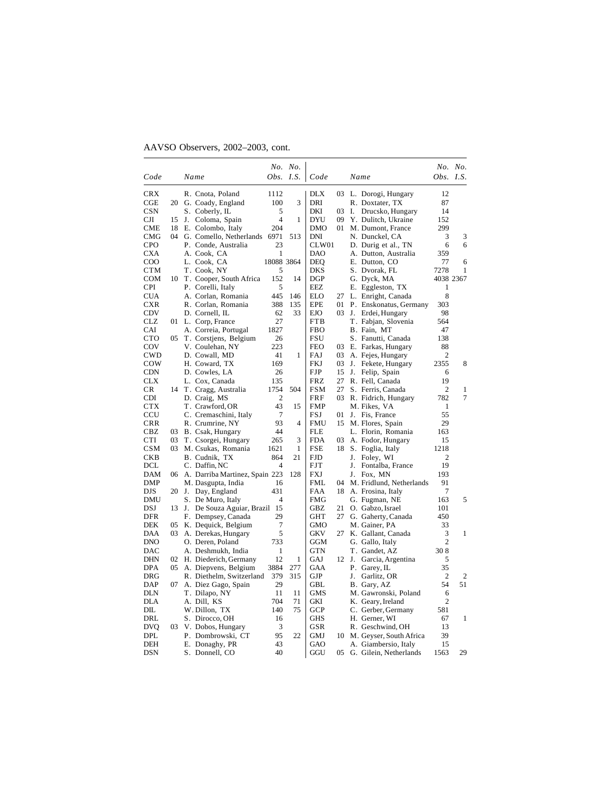|              |          |       |                                     |                  | No. No.      |                   |    |                                         |                | No. No. |
|--------------|----------|-------|-------------------------------------|------------------|--------------|-------------------|----|-----------------------------------------|----------------|---------|
| Code         |          |       | Name                                | <i>Obs.</i> I.S. |              | Code              |    | Name                                    | Obs.           | I.S.    |
| CRX          |          |       | R. Cnota, Poland                    | 1112             |              | <b>DLX</b>        |    | 03 L. Dorogi, Hungary                   | 12             |         |
| $_{\rm CGE}$ | 20       |       | G. Coady, England                   | 100              | 3            | <b>DRI</b>        |    | R. Doxtater, TX                         | 87             |         |
| <b>CSN</b>   |          |       | S. Coberly, IL                      | 5                |              | DKI               | 03 | Drucsko, Hungary<br>I.                  | 14             |         |
| CЛ           | 15       | J.    | Coloma, Spain                       | 4                | $\mathbf{1}$ | <b>DYU</b>        | 09 | Y. Dulitch, Ukraine                     | 152            |         |
| CME          | 18       |       | E. Colombo, Italy                   | 204              |              | <b>DMO</b>        | 01 | M. Dumont, France                       | 299            |         |
| CMG          | 04       |       | G. Comello, Netherlands             | 6971             | 513          | DNI               |    | N. Dunckel, CA                          | 3              | 3       |
| CPO          |          |       | P. Conde, Australia                 | 23               |              | CLW01             |    | D. Durig et al., TN                     | 6              | 6       |
| CXA          |          |       | A. Cook, CA                         | 1                |              | DAO               |    | A. Dutton, Australia                    | 359            |         |
| COO          |          |       | L. Cook, CA                         | 18088 3864       |              | <b>DEQ</b>        |    | E. Dutton, CO                           | 77             | 6       |
| CTM          |          |       | T. Cook, NY                         | 5                |              | DKS               |    | S. Dvorak, FL                           | 7278           | 1       |
| COM          |          |       | 10 T. Cooper, South Africa          | 152              | 14           | <b>DGP</b>        |    | G. Dyck, MA                             | 4038 2367      |         |
| <b>CPI</b>   |          |       | P. Corelli, Italy                   | 5                |              | EEZ               |    | E. Eggleston, TX                        | 1              |         |
| <b>CUA</b>   |          |       | A. Corlan, Romania                  | 445              | 146          | <b>ELO</b>        | 27 | L. Enright, Canada                      | 8              |         |
| <b>CXR</b>   |          |       | R. Corlan, Romania                  | 388              | 135          | <b>EPE</b>        | 01 | P. Enskonatus, Germany                  | 303            |         |
| <b>CDV</b>   |          |       | D. Cornell, IL                      | 62               | 33           | EJO               | 03 | Erdei, Hungary<br>J.                    | 98             |         |
| CLZ          |          |       | 01 L. Corp, France                  | 27               |              | <b>FTB</b>        |    | T. Fabjan, Slovenia                     | 564            |         |
| CAI          |          |       | A. Correia, Portugal                | 1827             |              | <b>FBO</b>        |    | B. Fain, MT                             | 47             |         |
| сто          | 05       |       | T. Corstjens, Belgium               | 26               |              | FSU               |    | S. Fanutti, Canada                      | 138            |         |
| COV          |          |       | V. Coulehan, NY                     | 223              |              | <b>FEO</b>        | 03 | E. Farkas, Hungary                      | 88             |         |
| <b>CWD</b>   |          |       | D. Cowall, MD                       | 41               | 1            | FAJ               | 03 | A. Fejes, Hungary                       | $\overline{2}$ |         |
| COW          |          |       | H. Coward, TX                       | 169              |              | FKJ               | 03 | J. Fekete, Hungary                      | 2355           | 8       |
| <b>CDN</b>   |          |       | D. Cowles, LA                       | 26               |              | <b>FJP</b>        | 15 | J.<br>Felip, Spain                      | 6              |         |
| <b>CLX</b>   |          |       | L. Cox, Canada                      | 135              |              | <b>FRZ</b>        | 27 | R. Fell, Canada                         | 19             |         |
| CR           |          |       | 14 T. Cragg, Australia              | 1754             | 504          | <b>FSM</b>        | 27 | S. Ferris, Canada                       | $\overline{c}$ | 1       |
| CDI          |          |       | D. Craig, MS                        | 2                |              | FRF               | 03 | R. Fidrich, Hungary                     | 782            | 7       |
| <b>CTX</b>   |          |       | T. Crawford, OR                     | 43               | 15           | <b>FMP</b>        |    | M. Fikes, VA                            | 1              |         |
| CCU          |          |       | C. Cremaschini, Italy               | 7<br>93          |              | FSJ               | 01 | J. Fis, France                          | 55             |         |
| CRR          |          |       | R. Crumrine, NY                     |                  | 4            | FMU               | 15 | M. Flores, Spain                        | 29             |         |
| CBZ<br>CTI   | 03<br>03 |       | B. Csak, Hungary                    | 44<br>265        | 3            | <b>FLE</b><br>FDA | 03 | L. Florin, Romania<br>A. Fodor, Hungary | 163<br>15      |         |
| CSM          | 03       |       | T. Csorgei, Hungary                 | 1621             | 1            | <b>FSE</b>        | 18 |                                         | 1218           |         |
| CKB          |          |       | M. Csukas, Romania<br>B. Cudnik, TX | 864              | 21           | <b>FJD</b>        |    | S. Foglia, Italy<br>J. Foley, WI        | $\overline{c}$ |         |
| DCL          |          |       | C. Daffin, NC                       | 4                |              | <b>FJT</b>        |    | J.<br>Fontalba, France                  | 19             |         |
| DAM          |          |       | 06 A. Darriba Martinez, Spain 223   |                  | 128          | FXJ               |    | J.<br>Fox, MN                           | 193            |         |
| DMP          |          |       | M. Dasgupta, India                  | 16               |              | <b>FML</b>        | 04 | M. Fridlund, Netherlands                | 91             |         |
| DJS          | 20       |       | J. Day, England                     | 431              |              | FAA               | 18 | A. Frosina, Italy                       | 7              |         |
| DMU          |          |       | S. De Muro, Italy                   | 4                |              | FMG               |    | G. Fugman, NE                           | 163            | 5       |
| DSJ          |          | 13 J. | De Souza Aguiar, Brazil             | 15               |              | GBZ               | 21 | O. Gabzo, Israel                        | 101            |         |
| DFR          |          |       | F. Dempsey, Canada                  | 29               |              | GHT               | 27 | G. Gaherty, Canada                      | 450            |         |
| DEK          | 05       |       | K. Dequick, Belgium                 | $\overline{7}$   |              | <b>GMO</b>        |    | M. Gainer, PA                           | 33             |         |
| DAA          | 03       |       | A. Derekas, Hungary                 | 5                |              | GKV               | 27 | K. Gallant, Canada                      | 3              | 1       |
| DNO          |          |       | O. Deren, Poland                    | 733              |              | GGM               |    | G. Gallo, Italy                         | $\overline{2}$ |         |
| DAC          |          |       | A. Deshmukh, India                  | 1                |              | GTN               |    | T. Gandet, AZ                           | 308            |         |
| DHN          |          |       | 02 H. Diederich, Germany            | 12               | 1            | GAJ               |    | 12 J.<br>Garcia, Argentina              | 5              |         |
| DPA          | 05       |       | A. Diepvens, Belgium                | 3884             | 277          | GAA               |    | P. Garey, IL                            | 35             |         |
| DRG          |          |       | R. Diethelm, Switzerland            | 379              | 315          | GJP               |    | J. Garlitz, OR                          | $\overline{c}$ | 2       |
| DAP          | 07       |       | A. Diez Gago, Spain                 | 29               |              | <b>GBL</b>        |    | B. Gary, AZ                             | 54             | 51      |
| DLN          |          |       | T. Dilapo, NY                       | 11               | 11           | GMS               |    | M. Gawronski, Poland                    | 6              |         |
| <b>DLA</b>   |          |       | A. Dill, KS                         | 704              | 71           | GKI               |    | K. Geary, Ireland                       | $\overline{c}$ |         |
| DIL          |          |       | W. Dillon,TX                        | 140              | 75           | GCP               |    | C. Gerber, Germany                      | 581            |         |
| DRL          |          |       | S. Dirocco, OH                      | 16               |              | <b>GHS</b>        |    | H. Gerner, WI                           | 67             | 1       |
| DVQ          | 03       |       | V. Dobos, Hungary                   | 3                |              | GSR               |    | R. Geschwind, OH                        | 13             |         |
| DPL          |          |       | P. Dombrowski, CT                   | 95               | 22           | GMJ               | 10 | M. Geyser, South Africa                 | 39             |         |
| DEH          |          |       | E. Donaghy, PR                      | 43               |              | GAO               |    | A. Giambersio, Italy                    | 15             |         |
| <b>DSN</b>   |          |       | S. Donnell, CO                      | 40               |              | GGU               |    | 05 G. Gilein, Netherlands               | 1563           | 29      |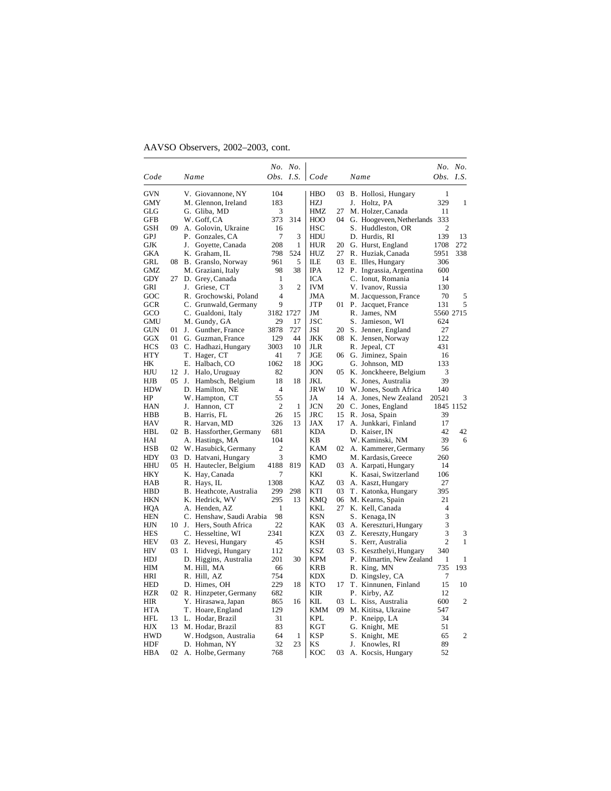|            |         |                            |                | No. No.        |            |     |      |                           |                | No. No.        |
|------------|---------|----------------------------|----------------|----------------|------------|-----|------|---------------------------|----------------|----------------|
| Code       |         | Name                       | Obs. I.S.      |                | Code       |     | Name |                           | Obs.           | <i>I.S.</i>    |
| <b>GVN</b> |         | V. Giovannone, NY          | 104            |                | HBO        | 03. |      | B. Hollosi, Hungary       | 1              |                |
| GMY        |         | M. Glennon, Ireland        | 183            |                | HZJ        |     |      | J. Holtz, PA              | 329            | 1              |
| GLG        |         | G. Gliba, MD               | 3              |                | HMZ        | 27  |      | M. Holzer, Canada         | 11             |                |
| <b>GFB</b> |         | W. Goff, CA                | 373            | 314            | HOO        | 04  |      | G. Hoogeveen, Netherlands | 333            |                |
| GSH        | 09      | A. Golovin, Ukraine        | 16             |                | HSC        |     |      | S. Huddleston, OR         | 2              |                |
| GPJ        |         | P. Gonzales, CA            | 7              | 3              | HDU        |     |      | D. Hurdis, RI             | 139            | 13             |
| GJK        |         | J.<br>Govette, Canada      | 208            | 1              | HUR        | 20  |      | G. Hurst, England         | 1708           | 272            |
| <b>GKA</b> |         | K. Graham, IL              | 798            | 524            | HUZ        | 27  |      | R. Huziak, Canada         | 5951           | 338            |
| GRL        | 08      | B. Granslo, Norway         | 961            | 5              | ILЕ        | 03  |      | E. Illes, Hungary         | 306            |                |
| GMZ        |         | M. Graziani, Italy         | 98             | 38             | IPA        | 12  |      | P. Ingrassia, Argentina   | 600            |                |
| <b>GDY</b> |         | 27 D. Grey, Canada         | 1              |                | ICA        |     |      | C. Ionut, Romania         | 14             |                |
| GRI        |         | J. Griese, CT              | 3              | $\overline{c}$ | <b>IVM</b> |     |      | V. Ivanov, Russia         | 130            |                |
| GOC        |         | R. Grochowski, Poland      | $\overline{4}$ |                | JMA        |     |      | M. Jacquesson, France     | 70             | 5              |
| <b>GCR</b> |         | C. Grunwald, Germany       | 9              |                | JTP        | 01  |      | P. Jacquet, France        | 131            | 5              |
| GCO        |         | C. Gualdoni, Italy         | 3182 1727      |                | JM         |     |      | R. James, NM              |                | 5560 2715      |
| <b>GMU</b> |         | M. Gundy, GA               | 29             | 17             | <b>JSC</b> |     |      | S. Jamieson, WI           | 624            |                |
| <b>GUN</b> | 01      | J.<br>Gunther, France      | 3878           | 727            | JSI        | 20  |      | S. Jenner, England        | 27             |                |
| GGX        | 01      | G. Guzman, France          | 129            | 44             | JKK        | 08  |      | K. Jensen, Norway         | 122            |                |
| <b>HCS</b> |         | 03 C. Hadhazi, Hungary     | 3003           | 10             | JLR        |     |      | R. Jepeal, CT             | 431            |                |
| HTY        |         | T. Hager, CT               | 41             | 7              | JGE        | 06  |      | G. Jiminez, Spain         | 16             |                |
| HК         |         | E. Halbach, CO             | 1062           | 18             | JOG        |     |      | G. Johnson, MD            | 133            |                |
| HJU        | 12      | J.<br>Halo, Uruguay        | 82             |                | <b>JON</b> | 05  |      | K. Jonckheere, Belgium    | 3              |                |
| HJB        | $05$ J. | Hambsch, Belgium           | 18             | 18             | JKL        |     |      | K. Jones, Australia       | 39             |                |
| HDW        |         | D. Hamilton, NE            | 4              |                | JRW        | 10  |      | W. Jones, South Africa    | 140            |                |
| HP         |         | W. Hampton, CT             | 55             |                | JA         | 14  |      | A. Jones, New Zealand     | 20521          | 3              |
| HAN        |         | Hannon, CT<br>J.           | $\overline{2}$ | $\mathbf{1}$   | JCN        | 20  |      | C. Jones, England         |                | 1845 1152      |
| HBB        |         | B. Harris, FL              | 26             | 15             | <b>JRC</b> | 15  |      | R. Josa, Spain            | 39             |                |
| <b>HAV</b> |         | R. Harvan, MD              | 326            | 13             | JAX        | 17  |      | A. Junkkari, Finland      | 17             |                |
| HBL        |         | 02 B. Hassforther, Germany | 681            |                | KDA        |     |      | D. Kaiser. IN             | 42             | 42             |
| HAI        |         | A. Hastings, MA            | 104            |                | KΒ         |     |      | W. Kaminski, NM           | 39             | 6              |
| <b>HSB</b> |         | 02 W. Hasubick, Germany    | 2              |                | KAM        | 02  |      | A. Kammerer, Germany      | 56             |                |
| HDY        |         | 03 D. Hatvani, Hungary     | 3              |                | KMO        |     |      | M. Kardasis, Greece       | 260            |                |
| HHU        |         | 05 H. Hautecler, Belgium   | 4188           | 819            | <b>KAD</b> | 03  |      | A. Karpati, Hungary       | 14             |                |
| <b>HKY</b> |         | K. Hay, Canada             | 7              |                | KKI        |     |      | K. Kasai, Switzerland     | 106            |                |
| HAB        |         | R. Hays, IL                | 1308           |                | <b>KAZ</b> | 03  |      | A. Kaszt, Hungary         | 27             |                |
| <b>HBD</b> |         | B. Heathcote, Australia    | 299            | 298            | KTI        | 03  |      | T. Katonka, Hungary       | 395            |                |
| <b>HKN</b> |         | K. Hedrick, WV             | 295            | 13             | KMQ        | 06  |      | M. Kearns, Spain          | 21             |                |
| HOA        |         | A. Henden, AZ              | 1              |                | KKL        | 27  |      | K. Kell, Canada           | 4              |                |
| <b>HEN</b> |         | C. Henshaw, Saudi Arabia   | 98             |                | KSN        |     |      | S. Kenaga, IN             | 3              |                |
| HJN        | 10      | Hers, South Africa<br>J.   | 22             |                | KAK        | 03  |      | A. Kereszturi, Hungary    | 3              |                |
| HES        |         | C. Hesseltine, WI          | 2341           |                | KZX        |     |      | 03 Z. Kereszty, Hungary   | 3              | 3              |
| <b>HEV</b> | 03      | Z. Hevesi, Hungary         | 45             |                | KSH        |     |      | S. Kerr, Australia        | $\overline{c}$ | 1              |
| HIV        |         | 03 I.<br>Hidvegi, Hungary  | 112            |                | KSZ        | 03. |      | S. Keszthelyi, Hungary    | 340            |                |
| <b>HDJ</b> |         | D. Higgins, Australia      | 201            | 30             | <b>KPM</b> |     |      | P. Kilmartin, New Zealand | 1              | 1              |
| HIM        |         | M. Hill, MA                | 66             |                | KRB        |     |      | R. King, MN               | 735            | 193            |
| HRI        |         | R. Hill, AZ                | 754            |                | KDX        |     |      | D. Kingsley, CA           | 7              |                |
| <b>HED</b> |         | D. Himes, OH               | 229            | 18             | KTO        | 17  |      | T. Kinnunen, Finland      | 15             | 10             |
| <b>HZR</b> |         | 02 R. Hinzpeter, Germany   | 682            |                | KIR        |     |      | P. Kirby, AZ              | 12             |                |
| HIR        |         | Y. Hirasawa, Japan         | 865            | 16             | KIL.       | 03  |      | L. Kiss, Australia        | 600            | $\overline{2}$ |
| HTA        |         | T. Hoare, England          | 129            |                | KMM        | 09  |      | M. Kititsa, Ukraine       | 547            |                |
| HFL        | 13      | L. Hodar, Brazil           | 31             |                | KPL        |     |      | P. Kneipp, LA             | 34             |                |
| HJX        |         | 13 M. Hodar, Brazil        | 83             |                | KGT        |     |      | G. Knight, ME             | 51             |                |
| HWD        |         | W. Hodgson, Australia      | 64             | 1              | KSP        |     |      | S. Knight, ME             | 65             | 2              |
| HDF        |         | D. Hohman, NY              | 32             | 23             | ΚS         |     |      | J. Knowles, RI            | 89             |                |
| HBA        |         | 02 A. Holbe, Germany       | 768            |                | KOC        | 03  |      |                           | 52             |                |
|            |         |                            |                |                |            |     |      | A. Kocsis, Hungary        |                |                |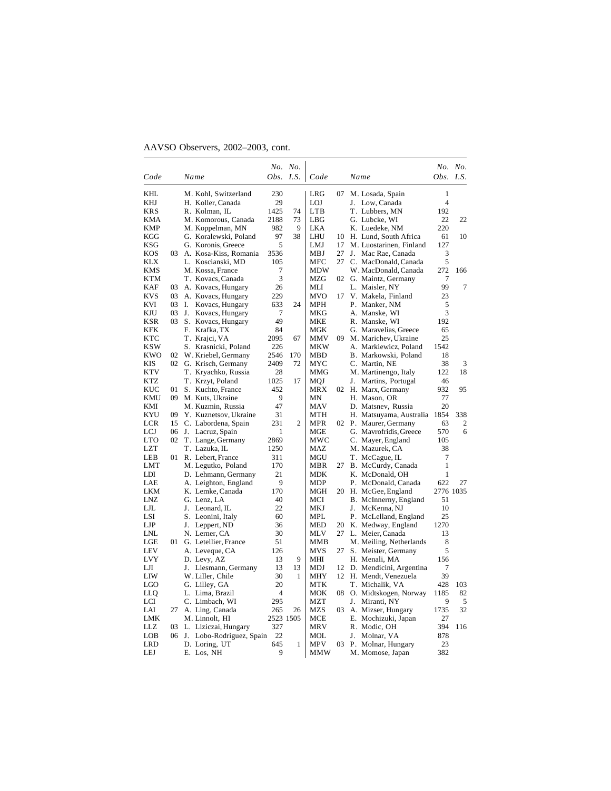|            |     |                          |           | No. No. |            |    |                            |                | No. No.   |
|------------|-----|--------------------------|-----------|---------|------------|----|----------------------------|----------------|-----------|
| Code       |     | Name                     | Obs. I.S. |         | Code       |    | Name                       | Obs. I.S.      |           |
| KHL        |     | M. Kohl, Switzerland     | 230       |         | LRG        | 07 | M. Losada, Spain           | 1              |           |
| KHJ        |     | H. Koller, Canada        | 29        |         | LOJ        |    | J. Low, Canada             | $\overline{4}$ |           |
| <b>KRS</b> |     | R. Kolman, IL            | 1425      | 74      | LTB        |    | T. Lubbers, MN             | 192            |           |
| <b>KMA</b> |     | M. Komorous, Canada      | 2188      | 73      | LBG        |    | G. Lubcke, WI              | 22             | 22        |
| <b>KMP</b> |     | M. Koppelman, MN         | 982       | 9       | <b>LKA</b> |    | K. Luedeke, NM             | 220            |           |
| <b>KGG</b> |     | G. Koralewski, Poland    | 97        | 38      | LHU        | 10 | H. Lund, South Africa      | 61             | 10        |
| <b>KSG</b> |     | G. Koronis, Greece       | 5         |         | LMJ        | 17 | M. Luostarinen, Finland    | 127            |           |
| <b>KOS</b> | 03  | A. Kosa-Kiss, Romania    | 3536      |         | MBJ        | 27 | J. Mac Rae, Canada         | 3              |           |
| <b>KLX</b> |     | L. Koscianski, MD        | 105       |         | MFC        | 27 | C. MacDonald, Canada       | 5              |           |
| KMS        |     | M. Kossa, France         | 7         |         | MDW        |    | W. MacDonald, Canada       | 272            | 166       |
| <b>KTM</b> |     | T. Kovacs, Canada        | 3         |         | MZG        | 02 | G. Maintz, Germany         | 7              |           |
| <b>KAF</b> | 03  | A. Kovacs, Hungary       | 26        |         | MLI        |    | L. Maisler, NY             | 99             | 7         |
| <b>KVS</b> | 03  | A. Kovacs, Hungary       | 229       |         | <b>MVO</b> |    | 17 V. Makela, Finland      | 23             |           |
| KVI        |     | 03 I.<br>Kovacs, Hungary | 633       | 24      | <b>MPH</b> |    | P. Manker, NM              | 5              |           |
| KJU        | 03  | Kovacs, Hungary<br>J.    | 7         |         | MKG        |    | A. Manske, WI              | 3              |           |
| <b>KSR</b> |     | 03 S. Kovacs, Hungary    | 49        |         | MKE        |    | R. Manske, WI              | 192            |           |
| <b>KFK</b> |     | F. Krafka, TX            | 84        |         | MGK        |    | G. Maravelias, Greece      | 65             |           |
| <b>KTC</b> |     | T. Krajci, VA            | 2095      | 67      | MMV        | 09 | M. Marichev, Ukraine       | 25             |           |
| <b>KSW</b> |     | S. Krasnicki, Poland     | 226       |         | MKW        |    | A. Markiewicz, Poland      | 1542           |           |
| KWO        | 02  | W. Kriebel, Germany      | 2546      | 170     | MBD        |    | B. Markowski, Poland       | 18             |           |
| KIS        |     | 02 G. Krisch, Germany    | 2409      | 72      | MYC        |    | C. Martin, NE              | 38             | 3         |
| <b>KTV</b> |     | T. Kryachko, Russia      | 28        |         | MMG        |    | M. Martinengo, Italy       | 122            | 18        |
| <b>KTZ</b> |     | T. Krzyt, Poland         | 1025      | 17      | MQJ        |    | J. Martins, Portugal       | 46             |           |
| KUC        | 01  | S. Kuchto, France        | 452       |         | MRX        |    | 02 H. Marx, Germany        | 932            | 95        |
| <b>KMU</b> | 09. | M. Kuts, Ukraine         | 9         |         | MΝ         |    | H. Mason, OR               | 77             |           |
| KMI        |     | M. Kuzmin, Russia        | 47        |         | MAV        |    | D. Matsnev, Russia         | 20             |           |
| <b>KYU</b> | 09  | Y. Kuznetsov, Ukraine    | 31        |         | <b>MTH</b> |    | H. Matsuyama, Australia    | 1854           | 338       |
| LCR        | 15  | C. Labordena, Spain      | 231       | 2       | MPR        |    | 02 P. Maurer, Germany      | 63             | 2         |
| LCJ        | 06  | J. Lacruz, Spain         | 1         |         | MGE        |    | G. Mavrofridis, Greece     | 570            | 6         |
| LTO        | 02  | T. Lange, Germany        | 2869      |         | MWC        |    | C. Mayer, England          | 105            |           |
| <b>LZT</b> |     | T. Lazuka, IL            | 1250      |         | MAZ        |    | M. Mazurek, CA             | 38             |           |
| LEB        | 01. | R. Lebert, France        | 311       |         | MGU        |    | T. McCague, IL             | 7              |           |
| LMT        |     | M. Legutko, Poland       | 170       |         | MBR        | 27 | B. McCurdy, Canada         | 1              |           |
| LDI        |     | D. Lehmann, Germany      | 21        |         | MDK        |    | K. McDonald, OH            | 1              |           |
| LAE        |     | A. Leighton, England     | 9         |         | MDP        |    | P. McDonald, Canada        | 622            | 27        |
| LKM        |     | K. Lemke, Canada         | 170       |         | MGH        |    | 20 H. McGee, England       |                | 2776 1035 |
| LNZ        |     | G. Lenz, LA              | 40        |         | MCI        |    | B. McInnerny, England      | 51             |           |
| LJL        |     | J. Leonard, IL           | 22        |         | MKJ        |    | McKenna, NJ<br>J.          | 10             |           |
| LSI        |     | S. Leonini, Italy        | 60        |         | MPL        |    | P. McLelland, England      | 25             |           |
| LJP        |     | J. Leppert, ND           | 36        |         | <b>MED</b> | 20 | K. Medway, England         | 1270           |           |
| LNL        |     | N. Lerner, CA            | 30        |         | MLV        |    | 27 L. Meier, Canada        | 13             |           |
| LGE        | 01  | G. Letellier, France     | 51        |         | MMB        |    | M. Meiling, Netherlands    | 8              |           |
| <b>LEV</b> |     | A. Leveque, CA           | 126       |         | MVS        | 27 | S. Meister, Germany        | 5              |           |
| <b>LVY</b> |     | D. Levy, AZ              | 13        | 9       | MHI        |    | H. Menali, MA              | 156            |           |
| LЛ         |     | J. Liesmann, Germany     | 13        | 13      | MDJ        |    | 12 D. Mendicini, Argentina | 7              |           |
| LIW        |     | W. Liller, Chile         | 30        | 1       | MHY        |    | 12 H. Mendt, Venezuela     | 39             |           |
| LGO        |     | G. Lilley, GA            | 20        |         | <b>MTK</b> |    | T. Michalik, VA            | 428            | 103       |
| LLQ        |     | L. Lima, Brazil          | 4         |         | MOK        | 08 | O. Midtskogen, Norway      | 1185           | 82        |
| LCI        |     | C. Limbach, WI           | 295       |         | <b>MZT</b> |    | J. Miranti, NY             | 9              | 5         |
| LAI        | 27  | A. Ling, Canada          | 265       | 26      | MZS        | 03 | A. Mizser, Hungary         | 1735           | 32        |
| LMK        |     | M. Linnolt, HI           | 2523 1505 |         | MCE        |    | E. Mochizuki, Japan        | 27             |           |
| LLZ        | 03  | L. Liziczai, Hungary     | 327       |         | MRV        |    | R. Modic, OH               | 394            | 116       |
| LOB        | 06  | J. Lobo-Rodriguez, Spain | 22        |         | MOL        |    | J.<br>Molnar, VA           | 878            |           |
| LRD        |     | D. Loring, UT            | 645<br>9  | 1       | MPV        | 03 | P. Molnar, Hungary         | 23             |           |
| LEJ        |     | E. Los, NH               |           |         | MMW        |    | M. Momose, Japan           | 382            |           |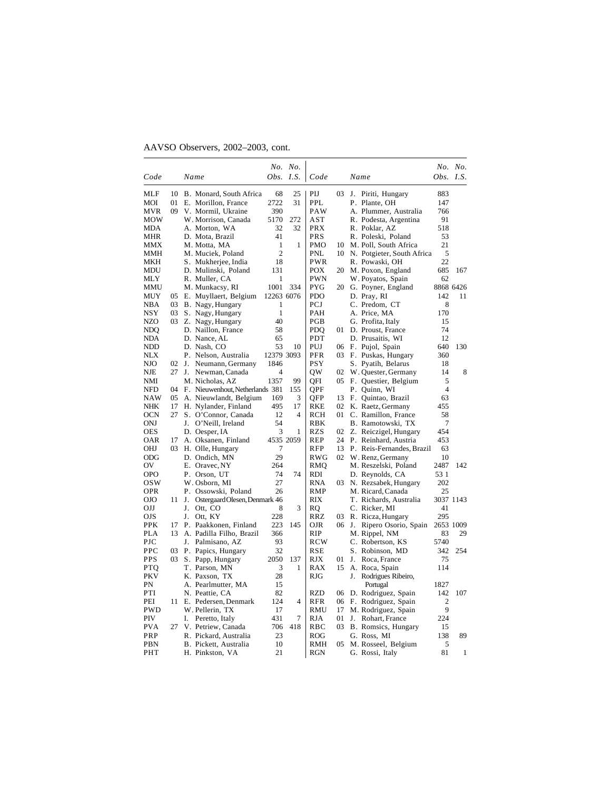|            |          |    |                                              |                  | No. No.        |                          |      |    |                                   | <i>Obs.</i> I.S. | No. No.   |
|------------|----------|----|----------------------------------------------|------------------|----------------|--------------------------|------|----|-----------------------------------|------------------|-----------|
| Code       |          |    | Name                                         | <i>Obs. I.S.</i> |                | Code                     |      |    | Name                              |                  |           |
| MLF        | 10       |    | B. Monard, South Africa                      | 68               | 25             | PIJ                      | 03   | J. | Piriti, Hungary                   | 883              |           |
| MOI        | 01       |    | E. Morillon, France                          | 2722             | 31             | PPL                      |      |    | P. Plante, OH                     | 147              |           |
| <b>MVR</b> | 09       |    | V. Mormil, Ukraine                           | 390              |                | PAW                      |      |    | A. Plummer, Australia             | 766              |           |
| <b>MOW</b> |          |    | W. Morrison, Canada                          | 5170             | 272            | AST                      |      |    | R. Podesta, Argentina             | 91               |           |
| MDA        |          |    | A. Morton, WA                                | 32               | 32             | <b>PRX</b>               |      |    | R. Poklar, AZ                     | 518              |           |
| MHR        |          |    | D. Mota, Brazil                              | 41               |                | <b>PRS</b>               |      |    | R. Poleski, Poland                | 53               |           |
| MMX        |          |    | M. Motta, MA                                 | $\mathbf{1}$     | 1              | <b>PMO</b>               | 10   |    | M. Poll, South Africa             | 21               |           |
| MMH        |          |    | M. Muciek, Poland                            | $\overline{2}$   |                | <b>PNL</b>               |      |    | 10 N. Potgieter, South Africa     | 5                |           |
| <b>MKH</b> |          |    | S. Mukherjee, India                          | 18               |                | <b>PWR</b>               |      |    | R. Powaski, OH                    | 22               |           |
| <b>MDU</b> |          |    | D. Mulinski, Poland                          | 131              |                | POX                      | 20   |    | M. Poxon, England                 | 685              | 167       |
| MLY        |          |    | R. Muller, CA                                | 1<br>1001        |                | <b>PWN</b><br><b>PYG</b> |      |    | W. Poyatos, Spain                 | 62               | 8868 6426 |
| MMU<br>MUY | 05       |    | M. Munkacsy, RI                              | 12263 6076       | 334            | <b>PDO</b>               |      |    | 20 G. Poyner, England             | 142              | 11        |
| <b>NBA</b> |          |    | E. Muyllaert, Belgium                        | 1                |                | PCJ                      |      |    | D. Pray, RI<br>C. Predom, CT      | 8                |           |
| <b>NSY</b> | 03       |    | 03 B. Nagy, Hungary<br>S. Nagy, Hungary      | $\mathbf{1}$     |                | PAH                      |      |    | A. Price, MA                      | 170              |           |
| <b>NZO</b> |          |    | 03 Z. Nagy, Hungary                          | 40               |                | PGB                      |      |    | G. Profita, Italy                 | 15               |           |
| NDQ        |          |    | D. Naillon, France                           | 58               |                | PDO                      | 01   |    | D. Proust, France                 | 74               |           |
| NDA        |          |    | D. Nance, AL                                 | 65               |                | PDT                      |      |    | D. Prusaitis, WI                  | 12               |           |
| NDD        |          |    | D. Nash, CO                                  | 53               | 10             | PUJ                      | 06   |    | F. Pujol, Spain                   | 640              | 130       |
| <b>NLX</b> |          |    | P. Nelson, Australia                         | 12379 3093       |                | <b>PFR</b>               | 03   |    | F. Puskas, Hungary                | 360              |           |
| NJO        | 02       | J. | Neumann, Germany                             | 1846             |                | <b>PSY</b>               |      |    | S. Pyatih, Belarus                | 18               |           |
| NJE        | 27       |    | J. Newman, Canada                            | 4                |                | QW                       | 02   |    | W. Quester, Germany               | 14               | 8         |
| NMI        |          |    | M. Nicholas, AZ                              | 1357             | 99             | OFI                      |      |    | 05 F. Questier, Belgium           | 5                |           |
| <b>NFD</b> |          |    | 04 F. Nieuwenhout, Netherlands 381           |                  | 155            | QPF                      |      |    | P. Quinn, WI                      | $\overline{4}$   |           |
| <b>NAW</b> | 05       |    | A. Nieuwlandt, Belgium                       | 169              | 3              | QFP                      | 13   |    | F. Quintao, Brazil                | 63               |           |
| NHK        | 17       |    | H. Nylander, Finland                         | 495              | 17             | RKE                      | 02   |    | K. Raetz, Germany                 | 455              |           |
| <b>OCN</b> | 27       |    | S. O'Connor, Canada                          | 12               | $\overline{4}$ | <b>RCH</b>               | 01 - |    | C. Ramillon, France               | 58               |           |
| ONJ        |          |    | J. O'Neill, Ireland                          | 54               |                | RBK                      |      |    | B. Ramotowski, TX                 | 7                |           |
| <b>OES</b> |          |    | D. Oesper, IA                                | 3                | 1              | <b>RZS</b>               | 02   |    | Z. Reiczigel, Hungary             | 454              |           |
| OAR        | 17       |    | A. Oksanen, Finland                          |                  | 4535 2059      | REP                      | 24   |    | P. Reinhard, Austria              | 453              |           |
| OHJ        | 03.      |    | H. Olle, Hungary                             | 7                |                | <b>RFP</b>               | 13   |    | P. Reis-Fernandes, Brazil         | 63               |           |
| <b>ODG</b> |          |    | D. Ondich, MN                                | 29               |                | <b>RWG</b>               | 02   |    | W. Renz, Germany                  | 10               |           |
| OV         |          |    | E. Oravec, NY                                | 264              |                | RMQ                      |      |    | M. Reszelski, Poland              | 2487             | 142       |
| <b>OPO</b> |          |    | P. Orson, UT                                 | 74               | 74             | RDI                      |      |    | D. Reynolds, CA                   | 53 1             |           |
| <b>OSW</b> |          |    | W. Osborn, MI                                | 27               |                | <b>RNA</b>               |      |    | 03 N. Rezsabek, Hungary           | 202              |           |
| <b>OPR</b> |          |    | P. Ossowski, Poland                          | 26               |                | RMP                      |      |    | M. Ricard, Canada                 | 25               |           |
| OJO        | 11       | J. | Ostergaard Olesen, Denmark 46                |                  |                | <b>RIX</b>               |      |    | T. Richards, Australia            |                  | 3037 1143 |
| OIJ        |          | J. | Ott, CO                                      | 8                | 3              | RQ                       |      |    | C. Ricker, MI                     | 41               |           |
| <b>OJS</b> |          | J. | Ott, KY                                      | 228              |                | RRZ                      | 03   |    | R. Ricza, Hungary                 | 295              |           |
| <b>PPK</b> | 17<br>13 |    | P. Paakkonen, Finland                        | 223              | 145            | OJR                      | 06   | J. | Ripero Osorio, Spain              | 2653 1009        |           |
| PLA<br>PJC |          |    | A. Padilla Filho, Brazil<br>J. Palmisano, AZ | 366<br>93        |                | <b>RIP</b><br><b>RCW</b> |      |    | M. Rippel, NM<br>C. Robertson, KS | 83<br>5740       | 29        |
| PPC        | 03       |    | P. Papics, Hungary                           | 32               |                | RSE                      |      |    | S. Robinson, MD                   | 342              | 254       |
| <b>PPS</b> | 03       |    | S. Papp, Hungary                             | 2050             | 137            | RJX                      | 01   | J. | Roca, France                      | 75               |           |
| <b>PTQ</b> |          |    | T. Parson, MN                                | 3                | 1              | <b>RAX</b>               | 15   |    | A. Roca, Spain                    | 114              |           |
| <b>PKV</b> |          |    | K. Paxson, TX                                | 28               |                | <b>RJG</b>               |      | J. | Rodrigues Ribeiro,                |                  |           |
| PN         |          |    | A. Pearlmutter, MA                           | 15               |                |                          |      |    | Portugal                          | 1827             |           |
| PTI        |          |    | N. Peattie, CA                               | 82               |                | <b>RZD</b>               | 06   |    | D. Rodriguez, Spain               | 142              | 107       |
| PEI        | 11.      |    | E. Pedersen, Denmark                         | 124              | 4              | <b>RFR</b>               | 06   |    | F. Rodriguez, Spain               | $\overline{c}$   |           |
| PWD        |          |    | W. Pellerin, TX                              | 17               |                | RMU                      | 17   |    | M. Rodriguez, Spain               | 9                |           |
| PIV        |          | I. | Peretto, Italy                               | 431              | 7              | RJA                      | 01   | J. | Rohart, France                    | 224              |           |
| <b>PVA</b> | 27       |    | V. Petriew, Canada                           | 706              | 418            | RBC                      | 03   |    | B. Romsics, Hungary               | 15               |           |
| PRP        |          |    | R. Pickard, Australia                        | 23               |                | ROG                      |      |    | G. Ross, MI                       | 138              | 89        |
| PBN        |          |    | B. Pickett, Australia                        | 10               |                | RMH                      | 05   |    | M. Rosseel, Belgium               | 5                |           |
| PHT        |          |    | H. Pinkston, VA                              | 21               |                | <b>RGN</b>               |      |    | G. Rossi, Italy                   | 81               | 1         |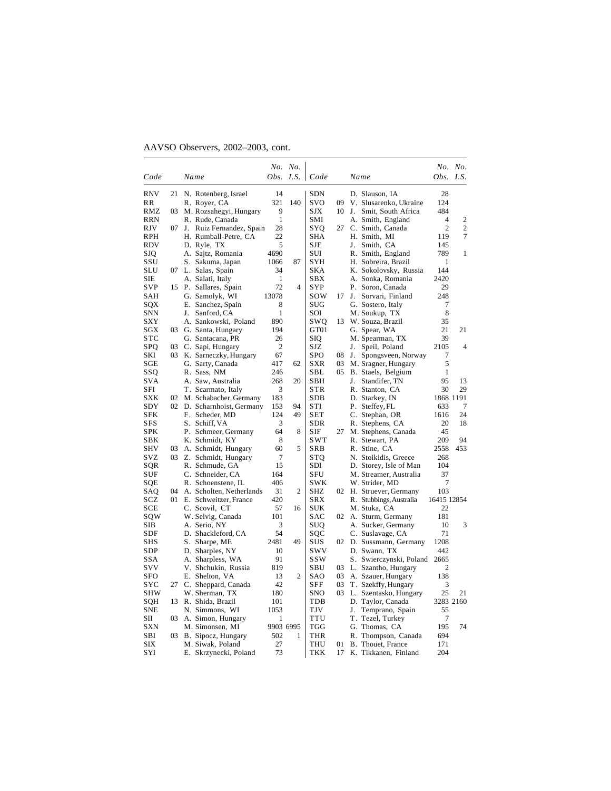|                   |     |                                       |                | No. No. |                   |    |                                                |                | No. No.        |
|-------------------|-----|---------------------------------------|----------------|---------|-------------------|----|------------------------------------------------|----------------|----------------|
| Code              |     | Name                                  | Obs.           | I.S.    | Code              |    | Name                                           | Obs.           | I.S.           |
| <b>RNV</b>        | 21  | N. Rotenberg, Israel                  | 14             |         | <b>SDN</b>        |    | D. Slauson, IA                                 | 28             |                |
| RR                |     | R. Royer, CA                          | 321            | 140     | svo               | 09 | V. Slusarenko, Ukraine                         | 124            |                |
| RMZ               | 03  | M. Rozsahegyi, Hungary                | 9              |         | SJX               | 10 | J. Smit, South Africa                          | 484            |                |
| <b>RRN</b>        |     | R. Rude, Canada                       | $\mathbf{1}$   |         | SMI               |    | A. Smith, England                              | $\overline{4}$ | 2              |
| <b>RJV</b>        | 07  | J.<br>Ruiz Fernandez, Spain           | 28             |         | SYO               | 27 | C. Smith, Canada                               | $\overline{c}$ | $\overline{c}$ |
| <b>RPH</b>        |     | H. Rumball-Petre, CA                  | 22             |         | SHA               |    | H. Smith, MI                                   | 119            | 7              |
| RDV               |     | D. Ryle, TX                           | 5              |         | SJE               |    | J. Smith, CA                                   | 145            |                |
| SJQ               |     | A. Sajtz, Romania                     | 4690           |         | SUI               |    | R. Smith, England                              | 789            | 1              |
| SSU               |     | S. Sakuma, Japan                      | 1066           | 87      | SYH               |    | H. Sobreira, Brazil                            | 1              |                |
| SLU               | 07  | L. Salas, Spain                       | 34             |         | <b>SKA</b>        |    | K. Sokolovsky, Russia                          | 144            |                |
| SIE               |     | A. Salati, Italy                      | $\mathbf{1}$   |         | <b>SBX</b>        |    | A. Sonka, Romania                              | 2420           |                |
| <b>SVP</b>        |     | 15 P. Sallares, Spain                 | 72             | 4       | <b>SYP</b>        |    | P. Soron, Canada                               | 29             |                |
| SAH               |     | G. Samolyk, WI                        | 13078          |         | sow               | 17 | J.<br>Sorvari, Finland                         | 248            |                |
| SQX               |     | E. Sanchez, Spain                     | 8              |         | <b>SUG</b>        |    | G. Sostero, Italy                              | 7              |                |
| SNN               |     | Sanford, CA<br>J.                     | $\mathbf{1}$   |         | SOI               |    | M. Soukup, TX                                  | 8              |                |
| <b>SXY</b>        |     | A. Sankowski, Poland                  | 890            |         | SWQ               | 13 | W. Souza, Brazil                               | 35             |                |
| SGX               | 03  | G. Santa, Hungary                     | 194            |         | GT01              |    | G. Spear, WA                                   | 21             | 21             |
| $_{\mathrm{STC}}$ |     | G. Santacana, PR                      | 26             |         | SIQ               |    | M. Spearman, TX                                | 39             |                |
| <b>SPQ</b>        | 03. | C. Sapi, Hungary                      | $\overline{2}$ |         | SJZ               |    | J.<br>Speil, Poland                            | 2105           | 4              |
| SKI               | 03  | K. Sarneczky, Hungary                 | 67             |         | <b>SPO</b>        | 08 | J.<br>Spongsveen, Norway                       | 7              |                |
| SGE               |     | G. Sarty, Canada                      | 417            | 62      | <b>SXR</b>        | 03 | M. Sragner, Hungary                            | 5              |                |
| SSQ               |     | R. Sass, NM                           | 246            |         | <b>SBL</b>        | 05 | B. Staels, Belgium                             | 1              |                |
| <b>SVA</b>        |     | A. Saw, Australia                     | 268            | 20      | <b>SBH</b>        |    | J.<br>Standifer, TN                            | 95             | 13             |
| SFI               |     | T. Scarmato, Italy                    | 3              |         | <b>STR</b>        |    | R. Stanton, CA                                 | 30             | 29             |
| SXK               |     | 02 M. Schabacher, Germany             | 183            |         | <b>SDB</b>        |    | D. Starkey, IN                                 | 1868 1191      |                |
| SDY               |     | 02 D. Scharnhoist, Germany            | 153            | 94      | STI               |    | P. Steffey, FL                                 | 633            | 7              |
| <b>SFK</b>        |     | F. Scheder, MD                        | 124            | 49      | <b>SET</b>        |    | C. Stephan, OR                                 | 1616           | 24             |
| SFS               |     | S. Schiff, VA                         | 3              |         | SDR               |    | R. Stephens, CA                                | 20             | 18             |
| SPK<br>SBK        |     | P. Schmeer, Germany                   | 64<br>8        | 8       | SIF<br>SWT        | 27 | M. Stephens, Canada<br>R. Stewart, PA          | 45<br>209      | 94             |
| SHV               | 03  | K. Schmidt, KY                        | 60             | 5       | SRB               |    |                                                | 2558           | 453            |
| SVZ               | 03  | A. Schmidt, Hungary                   | 7              |         |                   |    | R. Stine, CA                                   | 268            |                |
| SQR               |     | Z. Schmidt, Hungary<br>R. Schmude, GA | 15             |         | <b>STQ</b><br>SDI |    | N. Stoikidis, Greece<br>D. Storey, Isle of Man | 104            |                |
| SUF               |     | C. Schneider, CA                      | 164            |         | SFU               |    | M. Streamer, Australia                         | 37             |                |
| SOE               |     | R. Schoenstene, IL                    | 406            |         | SWK               |    | W. Strider, MD                                 | 7              |                |
| SAQ               | 04  | A. Scholten, Netherlands              | 31             | 2       | SHZ               |    | 02 H. Struever, Germany                        | 103            |                |
| SCZ               | 01  | E. Schweitzer, France                 | 420            |         | <b>SRX</b>        |    | R. Stubbings, Australia                        | 16415 12854    |                |
| SCE               |     | C. Scovil, CT                         | 57             | 16      | SUK               |    | M. Stuka, CA                                   | 22             |                |
| sqw               |     | W. Selvig, Canada                     | 101            |         | SAC               | 02 | A. Sturm, Germany                              | 181            |                |
| SIB               |     | A. Serio, NY                          | 3              |         | <b>SUQ</b>        |    | A. Sucker, Germany                             | 10             | 3              |
| SDF               |     | D. Shackleford, CA                    | 54             |         | SOC               |    | C. Suslavage, CA                               | 71             |                |
| <b>SHS</b>        |     | S. Sharpe, ME                         | 2481           | 49      | SUS               |    | 02 D. Sussmann, Germany                        | 1208           |                |
| SDP               |     | D. Sharples, NY                       | 10             |         | <b>SWV</b>        |    | D. Swann, TX                                   | 442            |                |
| SSA               |     | A. Sharpless, WA                      | 91             |         | <b>SSW</b>        |    | S. Swierczynski, Poland                        | 2665           |                |
| <b>SVV</b>        |     | V. Shchukin, Russia                   | 819            |         | SBU               | 03 | L. Szantho, Hungary                            | 2              |                |
| SFO               |     | E. Shelton, VA                        | 13             | 2       | SAO               | 03 | A. Szauer, Hungary                             | 138            |                |
| syc               | 27  | C. Sheppard, Canada                   | 42             |         | SFF               | 03 | T. Szekffy, Hungary                            | 3              |                |
| SHW               |     | W. Sherman, TX                        | 180            |         | <b>SNO</b>        | 03 | L. Szentasko, Hungary                          | 25             | 21             |
| SQH               |     | 13 R. Shida, Brazil                   | 101            |         | TDB               |    | D. Taylor, Canada                              | 3283 2160      |                |
| SNE               |     | N. Simmons, WI                        | 1053           |         | TJV               |    | J.<br>Temprano, Spain                          | 55             |                |
| SП                | 03  | A. Simon, Hungary                     | 1              |         | <b>TTU</b>        |    | T. Tezel, Turkey                               | 7              |                |
| <b>SXN</b>        |     | M. Simonsen, MI                       | 9903 6995      |         | <b>TGG</b>        |    | G. Thomas, CA                                  | 195            | 74             |
| SBI               | 03  | B. Sipocz, Hungary                    | 502            | 1       | <b>THR</b>        |    | R. Thompson, Canada                            | 694            |                |
| SIX               |     | M. Siwak, Poland                      | 27             |         | THU               | 01 | B. Thouet, France                              | 171            |                |
| SYI               |     | E. Skrzynecki, Poland                 | 73             |         | <b>TKK</b>        | 17 | K. Tikkanen, Finland                           | 204            |                |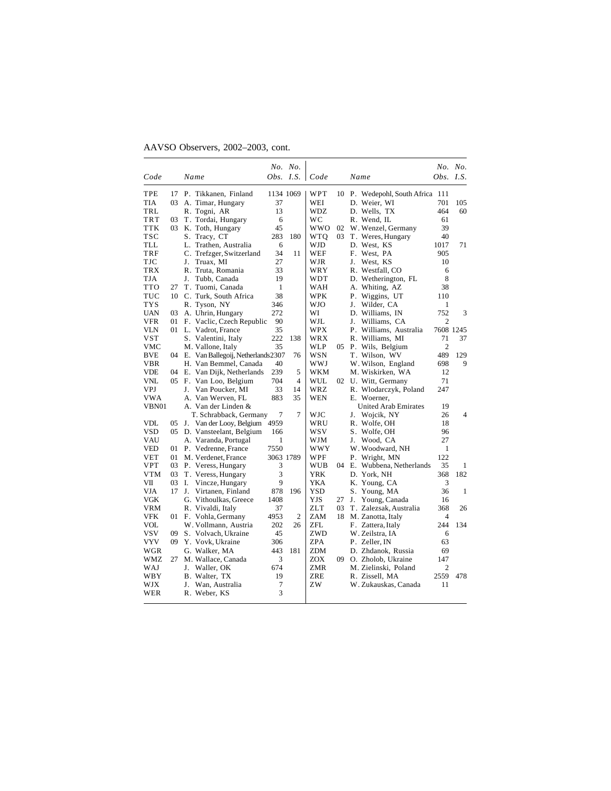| Code         |    | Name                                  |              | Obs. $I.S.$    | Code       |    | Name                          | Obs. $I.S.$    | No. No.        |
|--------------|----|---------------------------------------|--------------|----------------|------------|----|-------------------------------|----------------|----------------|
|              |    |                                       |              |                |            |    |                               |                |                |
| TPE          | 17 | P. Tikkanen, Finland                  | 1134 1069    |                | WPT        | 10 | P. Wedepohl, South Africa 111 |                |                |
| TIA          | 03 | A. Timar, Hungary                     | 37           |                | WEI        |    | D. Weier, WI                  | 701            | 105            |
| TRL          |    | R. Togni, AR                          | 13           |                | WDZ.       |    | D. Wells. TX                  | 464            | 60             |
| <b>TRT</b>   | 03 | T. Tordai, Hungary                    | 6            |                | WC         |    | R. Wend, IL                   | 61             |                |
| <b>TTK</b>   | 03 | K. Toth, Hungary                      | 45           |                | <b>WWO</b> | 02 | W. Wenzel, Germany            | 39             |                |
| TSC          |    | S. Tracy, CT                          | 283          | 180            | <b>WTQ</b> | 03 | T. Weres, Hungary             | 40             |                |
| TLL          |    | L.<br>Trathen, Australia              | 6            |                | WJD        |    | D. West, KS                   | 1017           | 71             |
| TRF          |    | C. Trefzger, Switzerland              | 34           | 11             | WEF        |    | F. West, PA                   | 905            |                |
| TJC          |    | J.<br>Truax. MI                       | 27           |                | WJR        |    | West, KS<br>J.                | 10             |                |
| <b>TRX</b>   |    | R. Truta, Romania                     | 33           |                | WRY        |    | R. Westfall, CO               | 6              |                |
| <b>TJA</b>   |    | Tubb, Canada<br>J.                    | 19           |                | WDT        |    | D. Wetherington, FL           | 8              |                |
| <b>TTO</b>   | 27 | T. Tuomi, Canada                      | $\mathbf{1}$ |                | WAH        |    | A. Whiting, AZ                | 38             |                |
| TUC          |    | 10 C. Turk, South Africa              | 38           |                | <b>WPK</b> |    | P. Wiggins, UT                | 110            |                |
| TYS          |    | R. Tyson, NY                          | 346          |                | WJO        |    | J.<br>Wilder, CA              | 1              |                |
| <b>UAN</b>   | 03 | A. Uhrin, Hungary                     | 272          |                | WI         |    | D. Williams, IN               | 752            | 3              |
| <b>VFR</b>   | 01 | F. Vaclic, Czech Republic             | 90           |                | WJL        |    | Williams, CA<br>J.            | $\overline{2}$ |                |
| <b>VLN</b>   |    | 01 L. Vadrot, France                  | 35           |                | <b>WPX</b> |    | P. Williams, Australia        |                | 7608 1245      |
| <b>VST</b>   |    | S. Valentini, Italy                   | 222          | 138            | WRX        |    | R. Williams, MI               | 71             | 37             |
| VMC          |    | M. Vallone, Italy                     | 35           |                | <b>WLP</b> |    | 05 P. Wils, Belgium           | $\overline{2}$ |                |
| <b>BVE</b>   |    | 04 E. Van Ballegoij, Netherlands 2307 |              | 76             | <b>WSN</b> |    | T. Wilson, WV                 | 489            | 129            |
| <b>VBR</b>   |    | H. Van Bemmel, Canada                 | 40           |                | WWJ        |    | W. Wilson, England            | 698            | 9              |
| <b>VDE</b>   |    | 04 E. Van Dijk, Netherlands           | 239          | 5              | WKM        |    | M. Wiskirken, WA              | 12             |                |
| <b>VNL</b>   |    | 05 F. Van Loo, Belgium                | 704          | $\overline{4}$ | WUL        | 02 | U. Witt, Germany              | 71             |                |
| <b>VPJ</b>   |    | J.<br>Van Poucker, MI                 | 33           | 14             | <b>WRZ</b> |    | R. Wlodarczyk, Poland         | 247            |                |
| VWA          |    | A. Van Werven, FL                     | 883          | 35             | WEN        |    | E. Woerner,                   |                |                |
| <b>VBN01</b> |    | A. Van der Linden &                   |              |                |            |    | <b>United Arab Emirates</b>   | 19             |                |
|              |    | T. Schrabback, Germany                | 7            | $\overline{7}$ | <b>WJC</b> |    | Wojcik, NY<br>J.              | 26             | $\overline{4}$ |
| <b>VDL</b>   | 05 | J. Van der Looy, Belgium              | 4959         |                | WRU        |    | R. Wolfe, OH                  | 18             |                |
| <b>VSD</b>   | 05 | D. Vansteelant, Belgium               | 166          |                | wsv        |    | S. Wolfe, OH                  | 96             |                |
| VAU          |    | A. Varanda, Portugal                  | 1            |                | WJM        |    | Wood, CA<br>J.                | 27             |                |
| VED          |    | 01 P. Vedrenne, France                | 7550         |                | <b>WWY</b> |    | W. Woodward, NH               | 1              |                |
| VET          | 01 | M. Verdenet, France                   | 3063 1789    |                | WPF        |    | P. Wright, MN                 | 122            |                |
| <b>VPT</b>   | 03 | P. Veress, Hungary                    | 3            |                | WUB        | 04 | E. Wubbena, Netherlands       | 35             | 1              |
| <b>VTM</b>   | 03 | T. Veress, Hungary                    | 3            |                | <b>YRK</b> |    | D. York, NH                   | 368            | 182            |
| VII          | 03 | I.<br>Vincze, Hungary                 | 9            |                | YKA        |    | K. Young, CA                  | 3              |                |
| <b>VJA</b>   | 17 | J.<br>Virtanen, Finland               | 878          | 196            | YSD        |    | S. Young, MA                  | 36             | 1              |
| <b>VGK</b>   |    | G. Vithoulkas, Greece                 | 1408         |                | YJS        | 27 | Young, Canada<br>J.           | 16             |                |
| <b>VRM</b>   |    | R. Vivaldi, Italy                     | 37           |                | ZLT        | 03 | T. Zalezsak. Australia        | 368            | 26             |
| <b>VFK</b>   |    | 01 F. Vohla, Germany                  | 4953         | $\overline{2}$ | ZAM        | 18 | M. Zanotta, Italy             | 4              |                |
| <b>VOL</b>   |    | W. Vollmann. Austria                  | 202          | 26             | ZFL        |    | F. Zattera, Italy             | 244            | 134            |
| <b>VSV</b>   | 09 | S. Volvach, Ukraine                   | 45           |                | ZWD        |    | W. Zeilstra, IA               | 6              |                |
| VYV          | 09 | Y. Vovk, Ukraine                      | 306          |                | ZPA        |    | P. Zeller, IN                 | 63             |                |
| WGR          |    | G. Walker, MA                         | 443          | 181            | ZDM        |    | D. Zhdanok, Russia            | 69             |                |
| WMZ          | 27 | M. Wallace, Canada                    | 3            |                | <b>ZOX</b> | 09 | O. Zholob, Ukraine            | 147            |                |
| WAJ          |    | J. Waller, OK                         | 674          |                | <b>ZMR</b> |    | M. Zielinski, Poland          | $\overline{c}$ |                |
| WBY          |    | B. Walter, TX                         | 19           |                | ZRE        |    | R. Zissell, MA                | 2559           | 478            |
| WJX          |    | Wan, Australia<br>J.                  | 7            |                | ZW         |    | W. Zukauskas, Canada          | 11             |                |
| WER          |    | R. Weber, KS                          | 3            |                |            |    |                               |                |                |